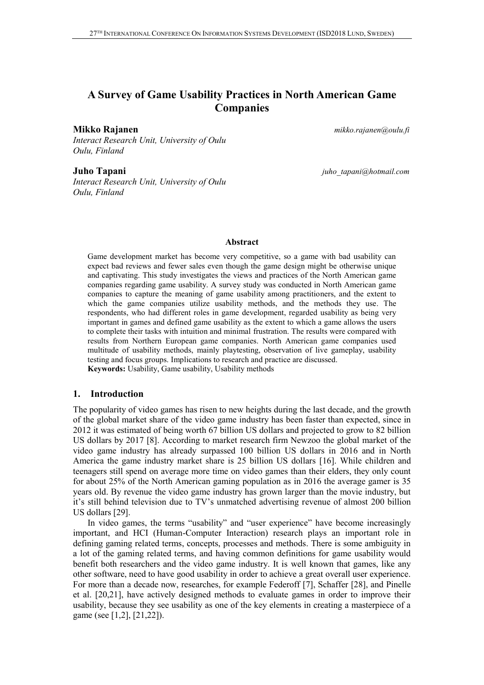# **A Survey of Game Usability Practices in North American Game Companies**

**Mikko Rajanen** *mikko.rajanen@oulu.fi*

*Interact Research Unit, University of Oulu Oulu, Finland*

*Interact Research Unit, University of Oulu Oulu, Finland*

**Juho Tapani** *juho\_tapani@hotmail.com*

#### **Abstract**

Game development market has become very competitive, so a game with bad usability can expect bad reviews and fewer sales even though the game design might be otherwise unique and captivating. This study investigates the views and practices of the North American game companies regarding game usability. A survey study was conducted in North American game companies to capture the meaning of game usability among practitioners, and the extent to which the game companies utilize usability methods, and the methods they use. The respondents, who had different roles in game development, regarded usability as being very important in games and defined game usability as the extent to which a game allows the users to complete their tasks with intuition and minimal frustration. The results were compared with results from Northern European game companies. North American game companies used multitude of usability methods, mainly playtesting, observation of live gameplay, usability testing and focus groups. Implications to research and practice are discussed. **Keywords:** Usability, Game usability, Usability methods

#### **1. Introduction**

The popularity of video games has risen to new heights during the last decade, and the growth of the global market share of the video game industry has been faster than expected, since in 2012 it was estimated of being worth 67 billion US dollars and projected to grow to 82 billion US dollars by 2017 [8]. According to market research firm Newzoo the global market of the video game industry has already surpassed 100 billion US dollars in 2016 and in North America the game industry market share is 25 billion US dollars [16]. While children and teenagers still spend on average more time on video games than their elders, they only count for about 25% of the North American gaming population as in 2016 the average gamer is 35 years old. By revenue the video game industry has grown larger than the movie industry, but it's still behind television due to TV's unmatched advertising revenue of almost 200 billion US dollars [29].

In video games, the terms "usability" and "user experience" have become increasingly important, and HCI (Human-Computer Interaction) research plays an important role in defining gaming related terms, concepts, processes and methods. There is some ambiguity in a lot of the gaming related terms, and having common definitions for game usability would benefit both researchers and the video game industry. It is well known that games, like any other software, need to have good usability in order to achieve a great overall user experience. For more than a decade now, researches, for example Federoff [7], Schaffer [28], and Pinelle et al. [20,21], have actively designed methods to evaluate games in order to improve their usability, because they see usability as one of the key elements in creating a masterpiece of a game (see [1,2], [21,22]).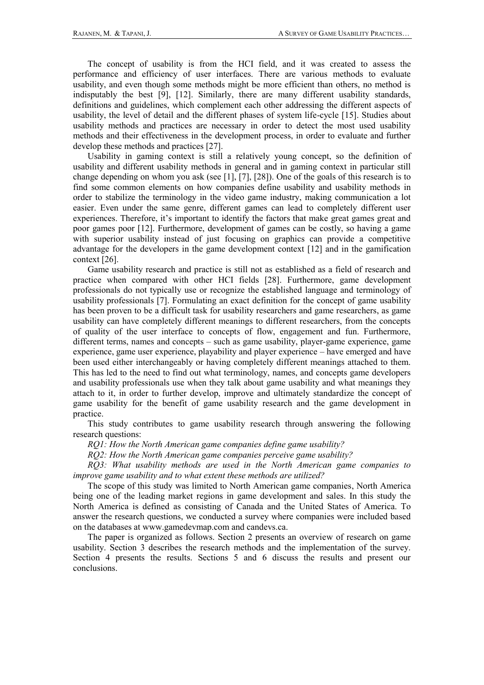The concept of usability is from the HCI field, and it was created to assess the performance and efficiency of user interfaces. There are various methods to evaluate usability, and even though some methods might be more efficient than others, no method is indisputably the best [9], [12]. Similarly, there are many different usability standards, definitions and guidelines, which complement each other addressing the different aspects of usability, the level of detail and the different phases of system life-cycle [15]. Studies about usability methods and practices are necessary in order to detect the most used usability methods and their effectiveness in the development process, in order to evaluate and further develop these methods and practices [27].

Usability in gaming context is still a relatively young concept, so the definition of usability and different usability methods in general and in gaming context in particular still change depending on whom you ask (see [1], [7], [28]). One of the goals of this research is to find some common elements on how companies define usability and usability methods in order to stabilize the terminology in the video game industry, making communication a lot easier. Even under the same genre, different games can lead to completely different user experiences. Therefore, it's important to identify the factors that make great games great and poor games poor [12]. Furthermore, development of games can be costly, so having a game with superior usability instead of just focusing on graphics can provide a competitive advantage for the developers in the game development context [12] and in the gamification context [26].

Game usability research and practice is still not as established as a field of research and practice when compared with other HCI fields [28]. Furthermore, game development professionals do not typically use or recognize the established language and terminology of usability professionals [7]. Formulating an exact definition for the concept of game usability has been proven to be a difficult task for usability researchers and game researchers, as game usability can have completely different meanings to different researchers, from the concepts of quality of the user interface to concepts of flow, engagement and fun. Furthermore, different terms, names and concepts – such as game usability, player-game experience, game experience, game user experience, playability and player experience – have emerged and have been used either interchangeably or having completely different meanings attached to them. This has led to the need to find out what terminology, names, and concepts game developers and usability professionals use when they talk about game usability and what meanings they attach to it, in order to further develop, improve and ultimately standardize the concept of game usability for the benefit of game usability research and the game development in practice.

This study contributes to game usability research through answering the following research questions:

*RQ1: How the North American game companies define game usability?* 

*RQ2: How the North American game companies perceive game usability?* 

*RQ3: What usability methods are used in the North American game companies to improve game usability and to what extent these methods are utilized?*

The scope of this study was limited to North American game companies, North America being one of the leading market regions in game development and sales. In this study the North America is defined as consisting of Canada and the United States of America. To answer the research questions, we conducted a survey where companies were included based on the databases at www.gamedevmap.com and candevs.ca.

The paper is organized as follows. Section 2 presents an overview of research on game usability. Section 3 describes the research methods and the implementation of the survey. Section 4 presents the results. Sections 5 and 6 discuss the results and present our conclusions.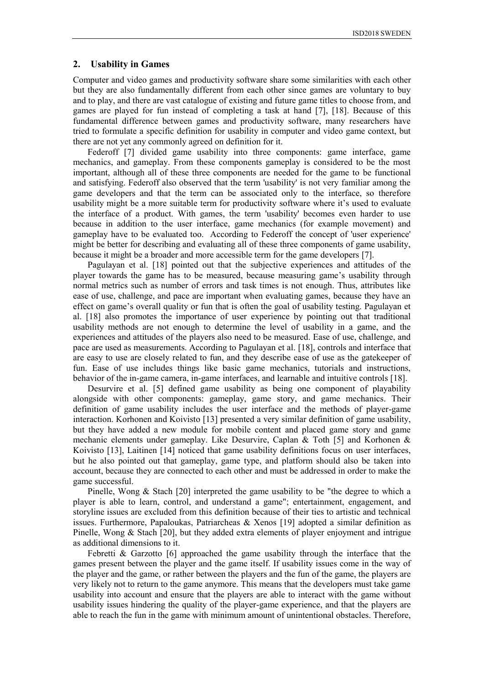# **2. Usability in Games**

Computer and video games and productivity software share some similarities with each other but they are also fundamentally different from each other since games are voluntary to buy and to play, and there are vast catalogue of existing and future game titles to choose from, and games are played for fun instead of completing a task at hand [7], [18]. Because of this fundamental difference between games and productivity software, many researchers have tried to formulate a specific definition for usability in computer and video game context, but there are not yet any commonly agreed on definition for it.

Federoff [7] divided game usability into three components: game interface, game mechanics, and gameplay. From these components gameplay is considered to be the most important, although all of these three components are needed for the game to be functional and satisfying. Federoff also observed that the term 'usability' is not very familiar among the game developers and that the term can be associated only to the interface, so therefore usability might be a more suitable term for productivity software where it's used to evaluate the interface of a product. With games, the term 'usability' becomes even harder to use because in addition to the user interface, game mechanics (for example movement) and gameplay have to be evaluated too. According to Federoff the concept of 'user experience' might be better for describing and evaluating all of these three components of game usability, because it might be a broader and more accessible term for the game developers [7].

Pagulayan et al. [18] pointed out that the subjective experiences and attitudes of the player towards the game has to be measured, because measuring game's usability through normal metrics such as number of errors and task times is not enough. Thus, attributes like ease of use, challenge, and pace are important when evaluating games, because they have an effect on game's overall quality or fun that is often the goal of usability testing. Pagulayan et al. [18] also promotes the importance of user experience by pointing out that traditional usability methods are not enough to determine the level of usability in a game, and the experiences and attitudes of the players also need to be measured. Ease of use, challenge, and pace are used as measurements. According to Pagulayan et al. [18], controls and interface that are easy to use are closely related to fun, and they describe ease of use as the gatekeeper of fun. Ease of use includes things like basic game mechanics, tutorials and instructions, behavior of the in-game camera, in-game interfaces, and learnable and intuitive controls [18].

Desurvire et al. [5] defined game usability as being one component of playability alongside with other components: gameplay, game story, and game mechanics. Their definition of game usability includes the user interface and the methods of player-game interaction. Korhonen and Koivisto [13] presented a very similar definition of game usability, but they have added a new module for mobile content and placed game story and game mechanic elements under gameplay. Like Desurvire, Caplan & Toth [5] and Korhonen & Koivisto [13], Laitinen [14] noticed that game usability definitions focus on user interfaces, but he also pointed out that gameplay, game type, and platform should also be taken into account, because they are connected to each other and must be addressed in order to make the game successful.

Pinelle, Wong & Stach [20] interpreted the game usability to be "the degree to which a player is able to learn, control, and understand a game"; entertainment, engagement, and storyline issues are excluded from this definition because of their ties to artistic and technical issues. Furthermore, Papaloukas, Patriarcheas & Xenos [19] adopted a similar definition as Pinelle, Wong & Stach [20], but they added extra elements of player enjoyment and intrigue as additional dimensions to it.

Febretti & Garzotto [6] approached the game usability through the interface that the games present between the player and the game itself. If usability issues come in the way of the player and the game, or rather between the players and the fun of the game, the players are very likely not to return to the game anymore. This means that the developers must take game usability into account and ensure that the players are able to interact with the game without usability issues hindering the quality of the player-game experience, and that the players are able to reach the fun in the game with minimum amount of unintentional obstacles. Therefore,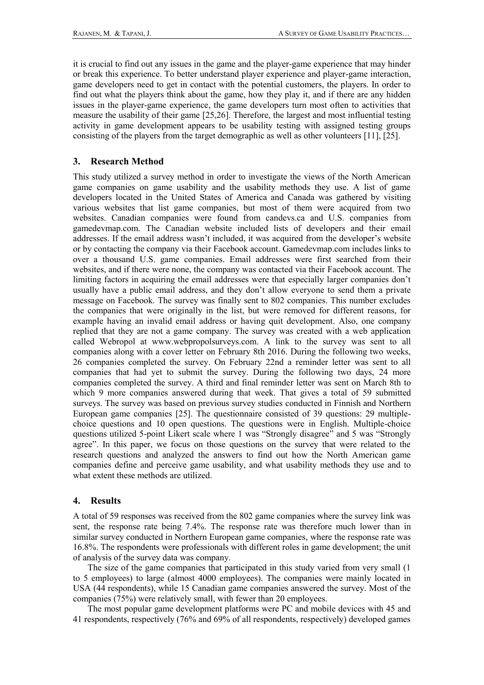it is crucial to find out any issues in the game and the player-game experience that may hinder or break this experience. To better understand player experience and player-game interaction, game developers need to get in contact with the potential customers, the players. In order to find out what the players think about the game, how they play it, and if there are any hidden issues in the player-game experience, the game developers turn most often to activities that measure the usability of their game [25,26]. Therefore, the largest and most influential testing activity in game development appears to be usability testing with assigned testing groups consisting of the players from the target demographic as well as other volunteers [11], [25].

# **3. Research Method**

This study utilized a survey method in order to investigate the views of the North American game companies on game usability and the usability methods they use. A list of game developers located in the United States of America and Canada was gathered by visiting various websites that list game companies, but most of them were acquired from two websites. Canadian companies were found from candevs.ca and U.S. companies from gamedevmap.com. The Canadian website included lists of developers and their email addresses. If the email address wasn't included, it was acquired from the developer's website or by contacting the company via their Facebook account. Gamedevmap.com includes links to over a thousand U.S. game companies. Email addresses were first searched from their websites, and if there were none, the company was contacted via their Facebook account. The limiting factors in acquiring the email addresses were that especially larger companies don't usually have a public email address, and they don't allow everyone to send them a private message on Facebook. The survey was finally sent to 802 companies. This number excludes the companies that were originally in the list, but were removed for different reasons, for example having an invalid email address or having quit development. Also, one company replied that they are not a game company. The survey was created with a web application called Webropol at [www.webpropolsurveys.com.](file:///E:/www.webpropolsurveys.com) A link to the survey was sent to all companies along with a cover letter on February 8th 2016. During the following two weeks, 26 companies completed the survey. On February 22nd a reminder letter was sent to all companies that had yet to submit the survey. During the following two days, 24 more companies completed the survey. A third and final reminder letter was sent on March 8th to which 9 more companies answered during that week. That gives a total of 59 submitted surveys. The survey was based on previous survey studies conducted in Finnish and Northern European game companies [25]. The questionnaire consisted of 39 questions: 29 multiplechoice questions and 10 open questions. The questions were in English. Multiple-choice questions utilized 5-point Likert scale where 1 was "Strongly disagree" and 5 was "Strongly agree". In this paper, we focus on those questions on the survey that were related to the research questions and analyzed the answers to find out how the North American game companies define and perceive game usability, and what usability methods they use and to what extent these methods are utilized.

# **4. Results**

A total of 59 responses was received from the 802 game companies where the survey link was sent, the response rate being 7.4%. The response rate was therefore much lower than in similar survey conducted in Northern European game companies, where the response rate was 16.8%. The respondents were professionals with different roles in game development; the unit of analysis of the survey data was company.

The size of the game companies that participated in this study varied from very small (1 to 5 employees) to large (almost 4000 employees). The companies were mainly located in USA (44 respondents), while 15 Canadian game companies answered the survey. Most of the companies (75%) were relatively small, with fewer than 20 employees.

The most popular game development platforms were PC and mobile devices with 45 and 41 respondents, respectively (76% and 69% of all respondents, respectively) developed games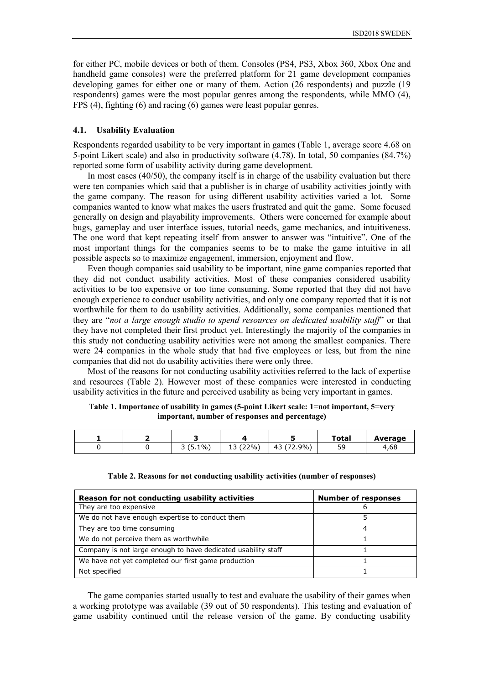for either PC, mobile devices or both of them. Consoles (PS4, PS3, Xbox 360, Xbox One and handheld game consoles) were the preferred platform for 21 game development companies developing games for either one or many of them. Action (26 respondents) and puzzle (19 respondents) games were the most popular genres among the respondents, while MMO (4), FPS (4), fighting (6) and racing (6) games were least popular genres.

#### **4.1. Usability Evaluation**

Respondents regarded usability to be very important in games (Table 1, average score 4.68 on 5-point Likert scale) and also in productivity software (4.78). In total, 50 companies (84.7%) reported some form of usability activity during game development.

In most cases (40/50), the company itself is in charge of the usability evaluation but there were ten companies which said that a publisher is in charge of usability activities jointly with the game company. The reason for using different usability activities varied a lot. Some companies wanted to know what makes the users frustrated and quit the game. Some focused generally on design and playability improvements. Others were concerned for example about bugs, gameplay and user interface issues, tutorial needs, game mechanics, and intuitiveness. The one word that kept repeating itself from answer to answer was "intuitive". One of the most important things for the companies seems to be to make the game intuitive in all possible aspects so to maximize engagement, immersion, enjoyment and flow.

Even though companies said usability to be important, nine game companies reported that they did not conduct usability activities. Most of these companies considered usability activities to be too expensive or too time consuming. Some reported that they did not have enough experience to conduct usability activities, and only one company reported that it is not worthwhile for them to do usability activities. Additionally, some companies mentioned that they are "*not a large enough studio to spend resources on dedicated usability staff*" or that they have not completed their first product yet. Interestingly the majority of the companies in this study not conducting usability activities were not among the smallest companies. There were 24 companies in the whole study that had five employees or less, but from the nine companies that did not do usability activities there were only three.

Most of the reasons for not conducting usability activities referred to the lack of expertise and resources (Table 2). However most of these companies were interested in conducting usability activities in the future and perceived usability as being very important in games.

| Table 1. Importance of usability in games (5-point Likert scale: 1=not important, 5=very |
|------------------------------------------------------------------------------------------|
| important, number of responses and percentage)                                           |

|  |           |             |                         | Total    | Average |
|--|-----------|-------------|-------------------------|----------|---------|
|  | $(5.1\%)$ | (22%)<br>∸∽ | (72.9%)<br>$\sim$<br>43 | ςс<br>-- | 4,68    |

| Reason for not conducting usability activities                | <b>Number of responses</b> |
|---------------------------------------------------------------|----------------------------|
| They are too expensive                                        | h                          |
| We do not have enough expertise to conduct them               |                            |
| They are too time consuming                                   |                            |
| We do not perceive them as worthwhile                         |                            |
| Company is not large enough to have dedicated usability staff |                            |
| We have not yet completed our first game production           |                            |
| Not specified                                                 |                            |

# **Table 2. Reasons for not conducting usability activities (number of responses)**

The game companies started usually to test and evaluate the usability of their games when a working prototype was available (39 out of 50 respondents). This testing and evaluation of game usability continued until the release version of the game. By conducting usability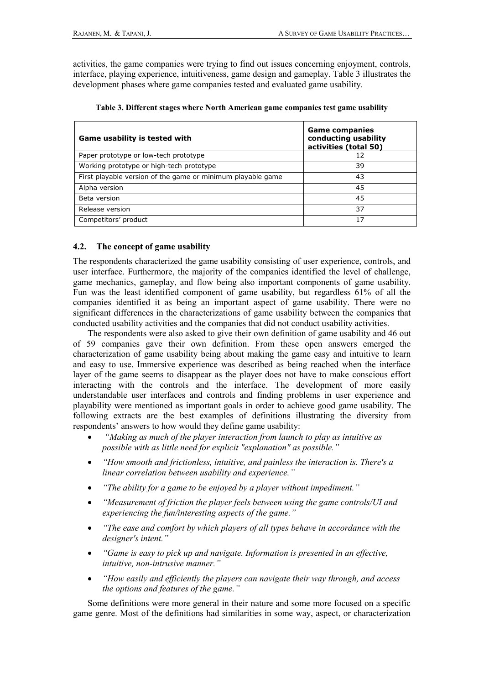activities, the game companies were trying to find out issues concerning enjoyment, controls, interface, playing experience, intuitiveness, game design and gameplay. Table 3 illustrates the development phases where game companies tested and evaluated game usability.

| Game usability is tested with                               | <b>Game companies</b><br>conducting usability<br>activities (total 50) |
|-------------------------------------------------------------|------------------------------------------------------------------------|
| Paper prototype or low-tech prototype                       | 12                                                                     |
| Working prototype or high-tech prototype                    | 39                                                                     |
| First playable version of the game or minimum playable game | 43                                                                     |
| Alpha version                                               | 45                                                                     |
| Beta version                                                | 45                                                                     |
| Release version                                             | 37                                                                     |
| Competitors' product                                        | 17                                                                     |

|  |  |  |  |  | Table 3. Different stages where North American game companies test game usability |  |
|--|--|--|--|--|-----------------------------------------------------------------------------------|--|
|--|--|--|--|--|-----------------------------------------------------------------------------------|--|

# **4.2. The concept of game usability**

The respondents characterized the game usability consisting of user experience, controls, and user interface. Furthermore, the majority of the companies identified the level of challenge, game mechanics, gameplay, and flow being also important components of game usability. Fun was the least identified component of game usability, but regardless 61% of all the companies identified it as being an important aspect of game usability. There were no significant differences in the characterizations of game usability between the companies that conducted usability activities and the companies that did not conduct usability activities.

The respondents were also asked to give their own definition of game usability and 46 out of 59 companies gave their own definition. From these open answers emerged the characterization of game usability being about making the game easy and intuitive to learn and easy to use. Immersive experience was described as being reached when the interface layer of the game seems to disappear as the player does not have to make conscious effort interacting with the controls and the interface. The development of more easily understandable user interfaces and controls and finding problems in user experience and playability were mentioned as important goals in order to achieve good game usability. The following extracts are the best examples of definitions illustrating the diversity from respondents' answers to how would they define game usability:

- *"Making as much of the player interaction from launch to play as intuitive as possible with as little need for explicit "explanation" as possible."*
- *"How smooth and frictionless, intuitive, and painless the interaction is. There's a linear correlation between usability and experience."*
- *"The ability for a game to be enjoyed by a player without impediment."*
- *"Measurement of friction the player feels between using the game controls/UI and experiencing the fun/interesting aspects of the game."*
- *"The ease and comfort by which players of all types behave in accordance with the designer's intent."*
- *"Game is easy to pick up and navigate. Information is presented in an effective, intuitive, non-intrusive manner."*
- *"How easily and efficiently the players can navigate their way through, and access the options and features of the game."*

Some definitions were more general in their nature and some more focused on a specific game genre. Most of the definitions had similarities in some way, aspect, or characterization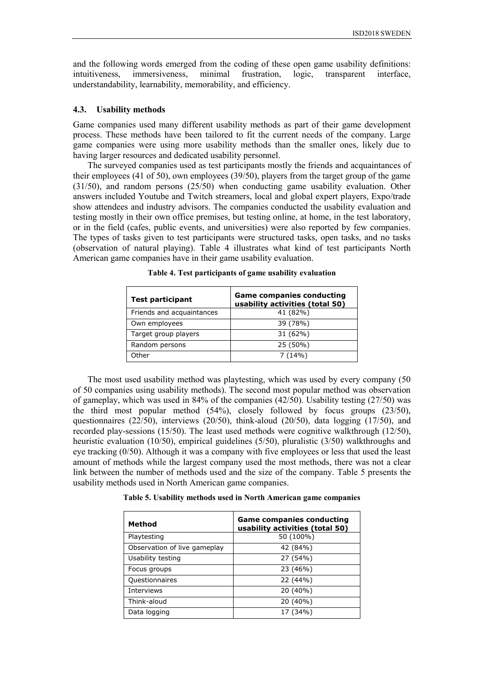and the following words emerged from the coding of these open game usability definitions: intuitiveness, immersiveness, minimal frustration, logic, transparent interface, understandability, learnability, memorability, and efficiency.

#### **4.3. Usability methods**

Game companies used many different usability methods as part of their game development process. These methods have been tailored to fit the current needs of the company. Large game companies were using more usability methods than the smaller ones, likely due to having larger resources and dedicated usability personnel.

The surveyed companies used as test participants mostly the friends and acquaintances of their employees (41 of 50), own employees (39/50), players from the target group of the game (31/50), and random persons (25/50) when conducting game usability evaluation. Other answers included Youtube and Twitch streamers, local and global expert players, Expo/trade show attendees and industry advisors. The companies conducted the usability evaluation and testing mostly in their own office premises, but testing online, at home, in the test laboratory, or in the field (cafes, public events, and universities) were also reported by few companies. The types of tasks given to test participants were structured tasks, open tasks, and no tasks (observation of natural playing). Table 4 illustrates what kind of test participants North American game companies have in their game usability evaluation.

| <b>Test participant</b>   | <b>Game companies conducting</b><br>usability activities (total 50) |
|---------------------------|---------------------------------------------------------------------|
| Friends and acquaintances | 41 (82%)                                                            |
| Own employees             | 39 (78%)                                                            |
| Target group players      | 31 (62%)                                                            |
| Random persons            | 25 (50%)                                                            |
| Other                     | 7(14%)                                                              |

**Table 4. Test participants of game usability evaluation**

The most used usability method was playtesting, which was used by every company (50 of 50 companies using usability methods). The second most popular method was observation of gameplay, which was used in 84% of the companies (42/50). Usability testing (27/50) was the third most popular method (54%), closely followed by focus groups (23/50), questionnaires (22/50), interviews (20/50), think-aloud (20/50), data logging (17/50), and recorded play-sessions (15/50). The least used methods were cognitive walkthrough (12/50), heuristic evaluation (10/50), empirical guidelines (5/50), pluralistic (3/50) walkthroughs and eye tracking (0/50). Although it was a company with five employees or less that used the least amount of methods while the largest company used the most methods, there was not a clear link between the number of methods used and the size of the company. Table 5 presents the usability methods used in North American game companies.

**Table 5. Usability methods used in North American game companies**

| Method                       | <b>Game companies conducting</b><br>usability activities (total 50) |
|------------------------------|---------------------------------------------------------------------|
| Playtesting                  | 50 (100%)                                                           |
| Observation of live gameplay | 42 (84%)                                                            |
| Usability testing            | 27 (54%)                                                            |
| Focus groups                 | 23 (46%)                                                            |
| Questionnaires               | 22 (44%)                                                            |
| Interviews                   | 20 (40%)                                                            |
| Think-aloud                  | 20 (40%)                                                            |
| Data logging                 | 17 (34%)                                                            |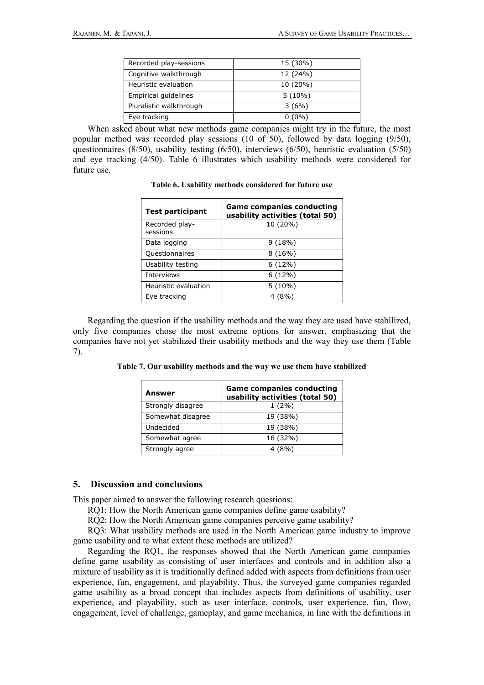| Recorded play-sessions  | 15 (30%)  |
|-------------------------|-----------|
| Cognitive walkthrough   | 12 (24%)  |
| Heuristic evaluation    | 10 (20%)  |
| Empirical quidelines    | $5(10\%)$ |
| Pluralistic walkthrough | 3(6%)     |
| Eye tracking            | $0(0\%)$  |

When asked about what new methods game companies might try in the future, the most popular method was recorded play sessions (10 of 50), followed by data logging (9/50), questionnaires (8/50), usability testing (6/50), interviews (6/50), heuristic evaluation (5/50) and eye tracking (4/50). Table 6 illustrates which usability methods were considered for future use.

| Table 6. Usability methods considered for future use |  |  |  |  |  |  |
|------------------------------------------------------|--|--|--|--|--|--|
|------------------------------------------------------|--|--|--|--|--|--|

| <b>Test participant</b>    | <b>Game companies conducting</b><br>usability activities (total 50) |
|----------------------------|---------------------------------------------------------------------|
| Recorded play-<br>sessions | 10 (20%)                                                            |
| Data logging               | 9(18%)                                                              |
| <b>Questionnaires</b>      | 8 (16%)                                                             |
| Usability testing          | 6 (12%)                                                             |
| Interviews                 | $6(12\%)$                                                           |
| Heuristic evaluation       | $5(10\%)$                                                           |
| Eye tracking               | 4(8%)                                                               |

Regarding the question if the usability methods and the way they are used have stabilized, only five companies chose the most extreme options for answer, emphasizing that the companies have not yet stabilized their usability methods and the way they use them (Table 7).

| Answer            | <b>Game companies conducting</b><br>usability activities (total 50) |
|-------------------|---------------------------------------------------------------------|
| Strongly disagree | $1(2\%)$                                                            |
| Somewhat disagree | 19 (38%)                                                            |
| Undecided         | 19 (38%)                                                            |
| Somewhat agree    | 16 (32%)                                                            |
| Strongly agree    | 4(8%)                                                               |

**Table 7. Our usability methods and the way we use them have stabilized**

### **5. Discussion and conclusions**

This paper aimed to answer the following research questions:

RQ1: How the North American game companies define game usability?

RQ2: How the North American game companies perceive game usability?

RQ3: What usability methods are used in the North American game industry to improve game usability and to what extent these methods are utilized?

Regarding the RQ1, the responses showed that the North American game companies define game usability as consisting of user interfaces and controls and in addition also a mixture of usability as it is traditionally defined added with aspects from definitions from user experience, fun, engagement, and playability. Thus, the surveyed game companies regarded game usability as a broad concept that includes aspects from definitions of usability, user experience, and playability, such as user interface, controls, user experience, fun, flow, engagement, level of challenge, gameplay, and game mechanics, in line with the definitions in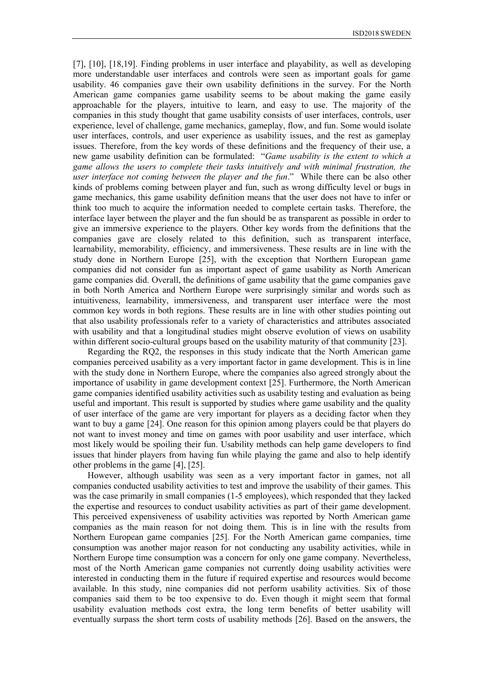[7], [10], [18,19]. Finding problems in user interface and playability, as well as developing more understandable user interfaces and controls were seen as important goals for game usability. 46 companies gave their own usability definitions in the survey. For the North American game companies game usability seems to be about making the game easily approachable for the players, intuitive to learn, and easy to use. The majority of the companies in this study thought that game usability consists of user interfaces, controls, user experience, level of challenge, game mechanics, gameplay, flow, and fun. Some would isolate user interfaces, controls, and user experience as usability issues, and the rest as gameplay issues. Therefore, from the key words of these definitions and the frequency of their use, a new game usability definition can be formulated: "*Game usability is the extent to which a game allows the users to complete their tasks intuitively and with minimal frustration, the user interface not coming between the player and the fun*." While there can be also other kinds of problems coming between player and fun, such as wrong difficulty level or bugs in game mechanics, this game usability definition means that the user does not have to infer or think too much to acquire the information needed to complete certain tasks. Therefore, the interface layer between the player and the fun should be as transparent as possible in order to give an immersive experience to the players. Other key words from the definitions that the companies gave are closely related to this definition, such as transparent interface, learnability, memorability, efficiency, and immersiveness. These results are in line with the study done in Northern Europe [25], with the exception that Northern European game companies did not consider fun as important aspect of game usability as North American game companies did. Overall, the definitions of game usability that the game companies gave in both North America and Northern Europe were surprisingly similar and words such as intuitiveness, learnability, immersiveness, and transparent user interface were the most common key words in both regions. These results are in line with other studies pointing out that also usability professionals refer to a variety of characteristics and attributes associated with usability and that a longitudinal studies might observe evolution of views on usability within different socio-cultural groups based on the usability maturity of that community [23].

Regarding the RQ2, the responses in this study indicate that the North American game companies perceived usability as a very important factor in game development. This is in line with the study done in Northern Europe, where the companies also agreed strongly about the importance of usability in game development context [25]. Furthermore, the North American game companies identified usability activities such as usability testing and evaluation as being useful and important. This result is supported by studies where game usability and the quality of user interface of the game are very important for players as a deciding factor when they want to buy a game [24]. One reason for this opinion among players could be that players do not want to invest money and time on games with poor usability and user interface, which most likely would be spoiling their fun. Usability methods can help game developers to find issues that hinder players from having fun while playing the game and also to help identify other problems in the game [4], [25].

However, although usability was seen as a very important factor in games, not all companies conducted usability activities to test and improve the usability of their games. This was the case primarily in small companies (1-5 employees), which responded that they lacked the expertise and resources to conduct usability activities as part of their game development. This perceived expensiveness of usability activities was reported by North American game companies as the main reason for not doing them. This is in line with the results from Northern European game companies [25]. For the North American game companies, time consumption was another major reason for not conducting any usability activities, while in Northern Europe time consumption was a concern for only one game company. Nevertheless, most of the North American game companies not currently doing usability activities were interested in conducting them in the future if required expertise and resources would become available. In this study, nine companies did not perform usability activities. Six of those companies said them to be too expensive to do. Even though it might seem that formal usability evaluation methods cost extra, the long term benefits of better usability will eventually surpass the short term costs of usability methods [26]. Based on the answers, the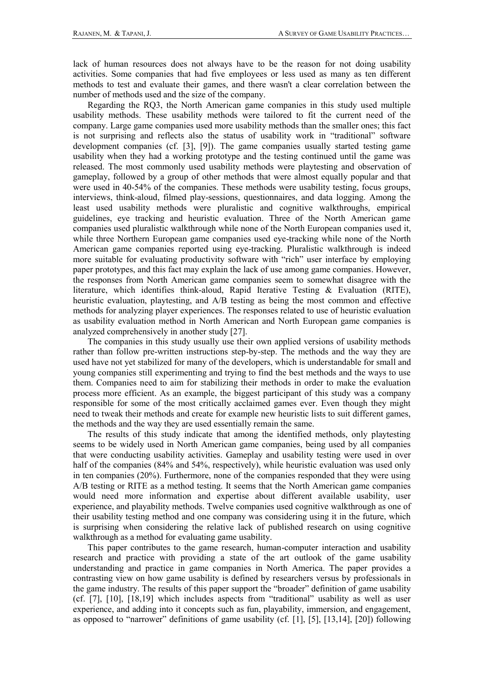lack of human resources does not always have to be the reason for not doing usability activities. Some companies that had five employees or less used as many as ten different methods to test and evaluate their games, and there wasn't a clear correlation between the number of methods used and the size of the company.

Regarding the RQ3, the North American game companies in this study used multiple usability methods. These usability methods were tailored to fit the current need of the company. Large game companies used more usability methods than the smaller ones; this fact is not surprising and reflects also the status of usability work in "traditional" software development companies (cf. [3], [9]). The game companies usually started testing game usability when they had a working prototype and the testing continued until the game was released. The most commonly used usability methods were playtesting and observation of gameplay, followed by a group of other methods that were almost equally popular and that were used in 40-54% of the companies. These methods were usability testing, focus groups, interviews, think-aloud, filmed play-sessions, questionnaires, and data logging. Among the least used usability methods were pluralistic and cognitive walkthroughs, empirical guidelines, eye tracking and heuristic evaluation. Three of the North American game companies used pluralistic walkthrough while none of the North European companies used it, while three Northern European game companies used eye-tracking while none of the North American game companies reported using eye-tracking. Pluralistic walkthrough is indeed more suitable for evaluating productivity software with "rich" user interface by employing paper prototypes, and this fact may explain the lack of use among game companies. However, the responses from North American game companies seem to somewhat disagree with the literature, which identifies think-aloud, Rapid Iterative Testing & Evaluation (RITE), heuristic evaluation, playtesting, and A/B testing as being the most common and effective methods for analyzing player experiences. The responses related to use of heuristic evaluation as usability evaluation method in North American and North European game companies is analyzed comprehensively in another study [27].

The companies in this study usually use their own applied versions of usability methods rather than follow pre-written instructions step-by-step. The methods and the way they are used have not yet stabilized for many of the developers, which is understandable for small and young companies still experimenting and trying to find the best methods and the ways to use them. Companies need to aim for stabilizing their methods in order to make the evaluation process more efficient. As an example, the biggest participant of this study was a company responsible for some of the most critically acclaimed games ever. Even though they might need to tweak their methods and create for example new heuristic lists to suit different games, the methods and the way they are used essentially remain the same.

The results of this study indicate that among the identified methods, only playtesting seems to be widely used in North American game companies, being used by all companies that were conducting usability activities. Gameplay and usability testing were used in over half of the companies (84% and 54%, respectively), while heuristic evaluation was used only in ten companies (20%). Furthermore, none of the companies responded that they were using A/B testing or RITE as a method testing. It seems that the North American game companies would need more information and expertise about different available usability, user experience, and playability methods. Twelve companies used cognitive walkthrough as one of their usability testing method and one company was considering using it in the future, which is surprising when considering the relative lack of published research on using cognitive walkthrough as a method for evaluating game usability.

This paper contributes to the game research, human-computer interaction and usability research and practice with providing a state of the art outlook of the game usability understanding and practice in game companies in North America. The paper provides a contrasting view on how game usability is defined by researchers versus by professionals in the game industry. The results of this paper support the "broader" definition of game usability (cf. [7], [10], [18,19] which includes aspects from "traditional" usability as well as user experience, and adding into it concepts such as fun, playability, immersion, and engagement, as opposed to "narrower" definitions of game usability (cf. [1], [5], [13,14], [20]) following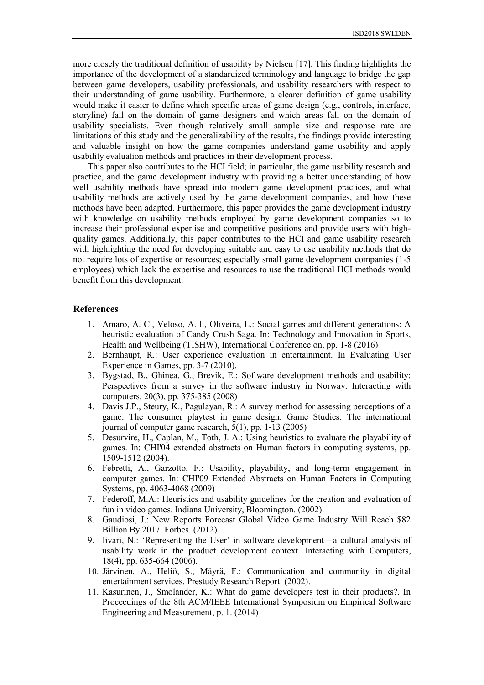more closely the traditional definition of usability by Nielsen [17]. This finding highlights the importance of the development of a standardized terminology and language to bridge the gap between game developers, usability professionals, and usability researchers with respect to their understanding of game usability. Furthermore, a clearer definition of game usability would make it easier to define which specific areas of game design (e.g., controls, interface, storyline) fall on the domain of game designers and which areas fall on the domain of usability specialists. Even though relatively small sample size and response rate are limitations of this study and the generalizability of the results, the findings provide interesting and valuable insight on how the game companies understand game usability and apply usability evaluation methods and practices in their development process.

This paper also contributes to the HCI field; in particular, the game usability research and practice, and the game development industry with providing a better understanding of how well usability methods have spread into modern game development practices, and what usability methods are actively used by the game development companies, and how these methods have been adapted. Furthermore, this paper provides the game development industry with knowledge on usability methods employed by game development companies so to increase their professional expertise and competitive positions and provide users with highquality games. Additionally, this paper contributes to the HCI and game usability research with highlighting the need for developing suitable and easy to use usability methods that do not require lots of expertise or resources; especially small game development companies (1-5 employees) which lack the expertise and resources to use the traditional HCI methods would benefit from this development.

# **References**

- 1. Amaro, A. C., Veloso, A. I., Oliveira, L.: Social games and different generations: A heuristic evaluation of Candy Crush Saga. In: Technology and Innovation in Sports, Health and Wellbeing (TISHW), International Conference on, pp. 1-8 (2016)
- 2. Bernhaupt, R.: User experience evaluation in entertainment. In Evaluating User Experience in Games, pp. 3-7 (2010).
- 3. Bygstad, B., Ghinea, G., Brevik, E.: Software development methods and usability: Perspectives from a survey in the software industry in Norway. Interacting with computers, 20(3), pp. 375-385 (2008)
- 4. Davis J.P., Steury, K., Pagulayan, R.: A survey method for assessing perceptions of a game: The consumer playtest in game design. Game Studies: The international journal of computer game research, 5(1), pp. 1-13 (2005)
- 5. Desurvire, H., Caplan, M., Toth, J. A.: Using heuristics to evaluate the playability of games. In: CHI'04 extended abstracts on Human factors in computing systems, pp. 1509-1512 (2004).
- 6. Febretti, A., Garzotto, F.: Usability, playability, and long-term engagement in computer games. In: CHI'09 Extended Abstracts on Human Factors in Computing Systems, pp. 4063-4068 (2009)
- 7. Federoff, M.A.: Heuristics and usability guidelines for the creation and evaluation of fun in video games. Indiana University, Bloomington. (2002).
- 8. Gaudiosi, J.: New Reports Forecast Global Video Game Industry Will Reach \$82 Billion By 2017. Forbes. (2012)
- 9. Iivari, N.: 'Representing the User' in software development—a cultural analysis of usability work in the product development context. Interacting with Computers, 18(4), pp. 635-664 (2006).
- 10. Järvinen, A., Heliö, S., Mäyrä, F.: Communication and community in digital entertainment services. Prestudy Research Report. (2002).
- 11. Kasurinen, J., Smolander, K.: What do game developers test in their products?. In Proceedings of the 8th ACM/IEEE International Symposium on Empirical Software Engineering and Measurement, p. 1. (2014)